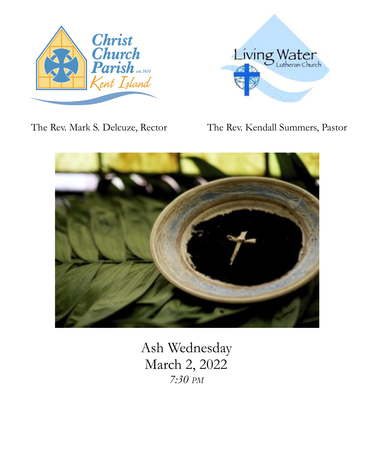



The Rev. Mark S. Delcuze, Rector The Rev. Kendall Summers, Pastor



Ash Wednesday March 2, 2022 *7:30 PM*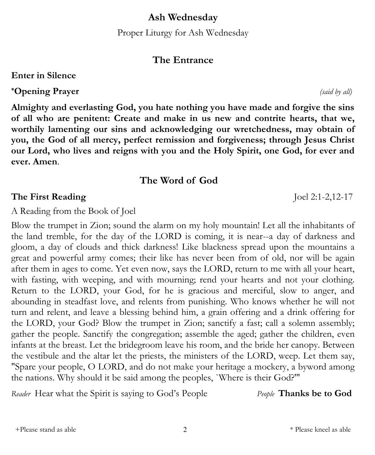**Ash Wednesday**

Proper Liturgy for Ash Wednesday

# **The Entrance**

**Enter in Silence**

**\*Opening Prayer** *(said by all)*

**Almighty and everlasting God, you hate nothing you have made and forgive the sins of all who are penitent: Create and make in us new and contrite hearts, that we, worthily lamenting our sins and acknowledging our wretchedness, may obtain of you, the God of all mercy, perfect remission and forgiveness; through Jesus Christ our Lord, who lives and reigns with you and the Holy Spirit, one God, for ever and ever. Amen**.

# **The Word of God**

# **The First Reading** Joel 2:1-2,12-17

A Reading from the Book of Joel

Blow the trumpet in Zion; sound the alarm on my holy mountain! Let all the inhabitants of the land tremble, for the day of the LORD is coming, it is near--a day of darkness and gloom, a day of clouds and thick darkness! Like blackness spread upon the mountains a great and powerful army comes; their like has never been from of old, nor will be again after them in ages to come. Yet even now, says the LORD, return to me with all your heart, with fasting, with weeping, and with mourning; rend your hearts and not your clothing. Return to the LORD, your God, for he is gracious and merciful, slow to anger, and abounding in steadfast love, and relents from punishing. Who knows whether he will not turn and relent, and leave a blessing behind him, a grain offering and a drink offering for the LORD, your God? Blow the trumpet in Zion; sanctify a fast; call a solemn assembly; gather the people. Sanctify the congregation; assemble the aged; gather the children, even infants at the breast. Let the bridegroom leave his room, and the bride her canopy. Between the vestibule and the altar let the priests, the ministers of the LORD, weep. Let them say, "Spare your people, O LORD, and do not make your heritage a mockery, a byword among the nations. Why should it be said among the peoples, `Where is their God?'"

*Reader* Hear what the Spirit is saying to God's People *People* **Thanks be to God**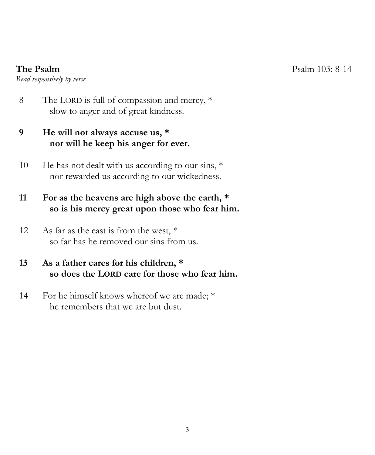*Read responsively by verse*

8 The LORD is full of compassion and mercy, \* slow to anger and of great kindness.

# **9 He will not always accuse us, \* nor will he keep his anger for ever.**

10 He has not dealt with us according to our sins,  $*$ nor rewarded us according to our wickedness.

# **11 For as the heavens are high above the earth, \* so is his mercy great upon those who fear him.**

12 As far as the east is from the west,  $*$ so far has he removed our sins from us.

## **13 As a father cares for his children, \* so does the LORD care for those who fear him.**

14 For he himself knows whereof we are made; \* he remembers that we are but dust.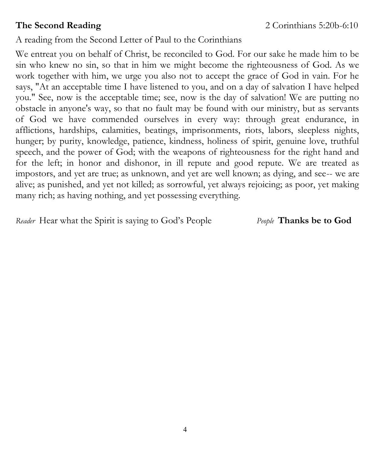A reading from the Second Letter of Paul to the Corinthians

We entreat you on behalf of Christ, be reconciled to God. For our sake he made him to be sin who knew no sin, so that in him we might become the righteousness of God. As we work together with him, we urge you also not to accept the grace of God in vain. For he says, "At an acceptable time I have listened to you, and on a day of salvation I have helped you." See, now is the acceptable time; see, now is the day of salvation! We are putting no obstacle in anyone's way, so that no fault may be found with our ministry, but as servants of God we have commended ourselves in every way: through great endurance, in afflictions, hardships, calamities, beatings, imprisonments, riots, labors, sleepless nights, hunger; by purity, knowledge, patience, kindness, holiness of spirit, genuine love, truthful speech, and the power of God; with the weapons of righteousness for the right hand and for the left; in honor and dishonor, in ill repute and good repute. We are treated as impostors, and yet are true; as unknown, and yet are well known; as dying, and see-- we are alive; as punished, and yet not killed; as sorrowful, yet always rejoicing; as poor, yet making many rich; as having nothing, and yet possessing everything.

*Reader* Hear what the Spirit is saying to God's People *People* **Thanks be to God**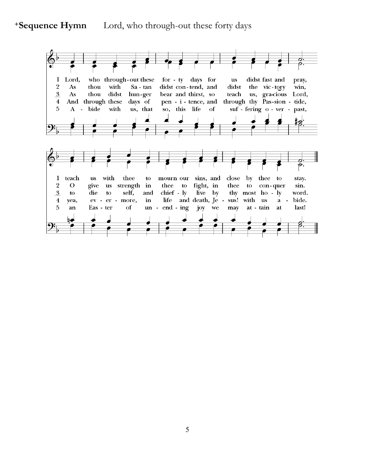#### **+Sequence Hymn** Lord, who through-out these forty days

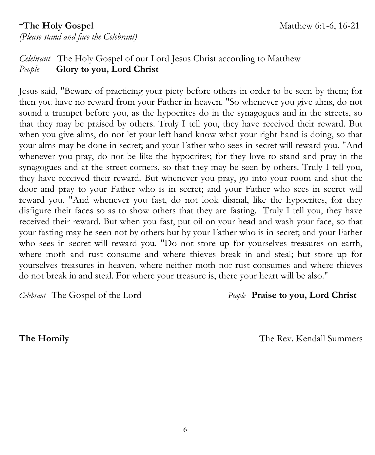## **+The Holy Gospel** Matthew 6:1-6, 16-21 *(Please stand and face the Celebrant)*

# *Celebrant* The Holy Gospel of our Lord Jesus Christ according to Matthew *People* **Glory to you, Lord Christ**

Jesus said, "Beware of practicing your piety before others in order to be seen by them; for then you have no reward from your Father in heaven. "So whenever you give alms, do not sound a trumpet before you, as the hypocrites do in the synagogues and in the streets, so that they may be praised by others. Truly I tell you, they have received their reward. But when you give alms, do not let your left hand know what your right hand is doing, so that your alms may be done in secret; and your Father who sees in secret will reward you. "And whenever you pray, do not be like the hypocrites; for they love to stand and pray in the synagogues and at the street corners, so that they may be seen by others. Truly I tell you, they have received their reward. But whenever you pray, go into your room and shut the door and pray to your Father who is in secret; and your Father who sees in secret will reward you. "And whenever you fast, do not look dismal, like the hypocrites, for they disfigure their faces so as to show others that they are fasting. Truly I tell you, they have received their reward. But when you fast, put oil on your head and wash your face, so that your fasting may be seen not by others but by your Father who is in secret; and your Father who sees in secret will reward you. "Do not store up for yourselves treasures on earth, where moth and rust consume and where thieves break in and steal; but store up for yourselves treasures in heaven, where neither moth nor rust consumes and where thieves do not break in and steal. For where your treasure is, there your heart will be also."

*Celebrant* The Gospel of the Lord *People* **Praise to you, Lord Christ**

**The Homily** The Rev. Kendall Summers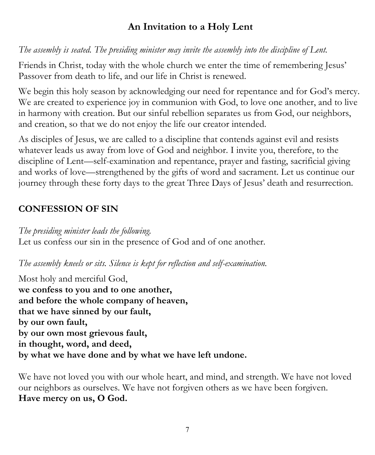# **An Invitation to a Holy Lent**

*The assembly is seated. The presiding minister may invite the assembly into the discipline of Lent.*

Friends in Christ, today with the whole church we enter the time of remembering Jesus' Passover from death to life, and our life in Christ is renewed.

We begin this holy season by acknowledging our need for repentance and for God's mercy. We are created to experience joy in communion with God, to love one another, and to live in harmony with creation. But our sinful rebellion separates us from God, our neighbors, and creation, so that we do not enjoy the life our creator intended.

As disciples of Jesus, we are called to a discipline that contends against evil and resists whatever leads us away from love of God and neighbor. I invite you, therefore, to the discipline of Lent—self-examination and repentance, prayer and fasting, sacrificial giving and works of love—strengthened by the gifts of word and sacrament. Let us continue our journey through these forty days to the great Three Days of Jesus' death and resurrection.

# **CONFESSION OF SIN**

*The presiding minister leads the following.* Let us confess our sin in the presence of God and of one another.

*The assembly kneels or sits. Silence is kept for reflection and self-examination.*

Most holy and merciful God, **we confess to you and to one another, and before the whole company of heaven, that we have sinned by our fault, by our own fault, by our own most grievous fault, in thought, word, and deed, by what we have done and by what we have left undone.**

We have not loved you with our whole heart, and mind, and strength. We have not loved our neighbors as ourselves. We have not forgiven others as we have been forgiven. **Have mercy on us, O God.**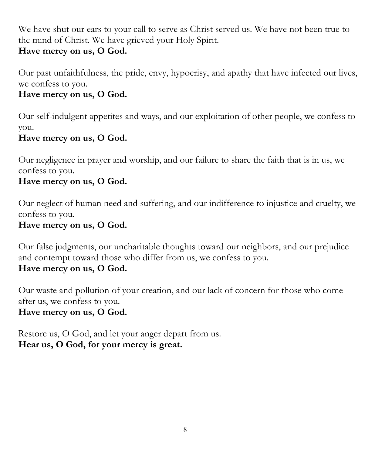We have shut our ears to your call to serve as Christ served us. We have not been true to the mind of Christ. We have grieved your Holy Spirit.

# **Have mercy on us, O God.**

Our past unfaithfulness, the pride, envy, hypocrisy, and apathy that have infected our lives, we confess to you.

## **Have mercy on us, O God.**

Our self-indulgent appetites and ways, and our exploitation of other people, we confess to you.

# **Have mercy on us, O God.**

Our negligence in prayer and worship, and our failure to share the faith that is in us, we confess to you.

#### **Have mercy on us, O God.**

Our neglect of human need and suffering, and our indifference to injustice and cruelty, we confess to you.

#### **Have mercy on us, O God.**

Our false judgments, our uncharitable thoughts toward our neighbors, and our prejudice and contempt toward those who differ from us, we confess to you.

## **Have mercy on us, O God.**

Our waste and pollution of your creation, and our lack of concern for those who come after us, we confess to you.

#### **Have mercy on us, O God.**

Restore us, O God, and let your anger depart from us. **Hear us, O God, for your mercy is great.**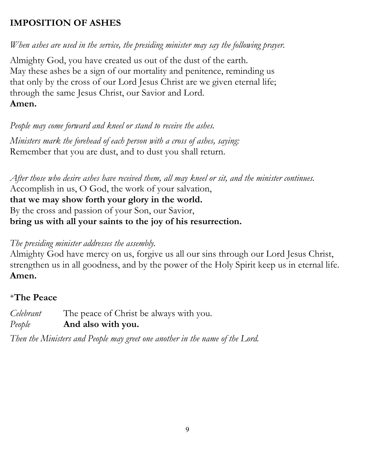# **IMPOSITION OF ASHES**

*When ashes are used in the service, the presiding minister may say the following prayer.*

Almighty God, you have created us out of the dust of the earth. May these ashes be a sign of our mortality and penitence, reminding us that only by the cross of our Lord Jesus Christ are we given eternal life; through the same Jesus Christ, our Savior and Lord. **Amen.**

*People may come forward and kneel or stand to receive the ashes.*

*Ministers mark the forehead of each person with a cross of ashes, saying:* Remember that you are dust, and to dust you shall return.

*After those who desire ashes have received them, all may kneel or sit, and the minister continues.* Accomplish in us, O God, the work of your salvation, **that we may show forth your glory in the world.** By the cross and passion of your Son, our Savior, **bring us with all your saints to the joy of his resurrection.**

## *The presiding minister addresses the assembly.*

Almighty God have mercy on us, forgive us all our sins through our Lord Jesus Christ, strengthen us in all goodness, and by the power of the Holy Spirit keep us in eternal life. **Amen.**

# **<sup>+</sup>The Peace**

*Celebrant* The peace of Christ be always with you. *People* **And also with you.**

*Then the Ministers and People may greet one another in the name of the Lord.*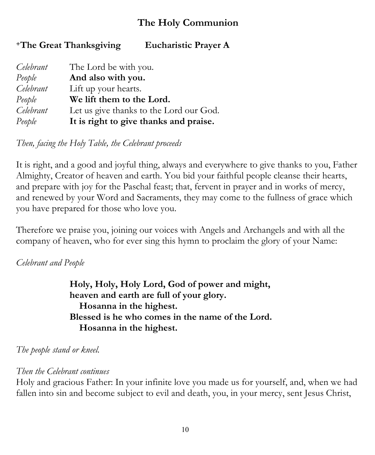# **The Holy Communion**

**<sup>+</sup>The Great Thanksgiving Eucharistic Prayer A**

| Celebrant | The Lord be with you.                   |
|-----------|-----------------------------------------|
| People    | And also with you.                      |
| Celebrant | Lift up your hearts.                    |
| People    | We lift them to the Lord.               |
| Celebrant | Let us give thanks to the Lord our God. |
| People    | It is right to give thanks and praise.  |

*Then, facing the Holy Table, the Celebrant proceeds*

It is right, and a good and joyful thing, always and everywhere to give thanks to you, Father Almighty, Creator of heaven and earth. You bid your faithful people cleanse their hearts, and prepare with joy for the Paschal feast; that, fervent in prayer and in works of mercy, and renewed by your Word and Sacraments, they may come to the fullness of grace which you have prepared for those who love you.

Therefore we praise you, joining our voices with Angels and Archangels and with all the company of heaven, who for ever sing this hymn to proclaim the glory of your Name:

#### *Celebrant and People*

**Holy, Holy, Holy Lord, God of power and might, heaven and earth are full of your glory. Hosanna in the highest. Blessed is he who comes in the name of the Lord. Hosanna in the highest.**

*The people stand or kneel.*

#### *Then the Celebrant continues*

Holy and gracious Father: In your infinite love you made us for yourself, and, when we had fallen into sin and become subject to evil and death, you, in your mercy, sent Jesus Christ,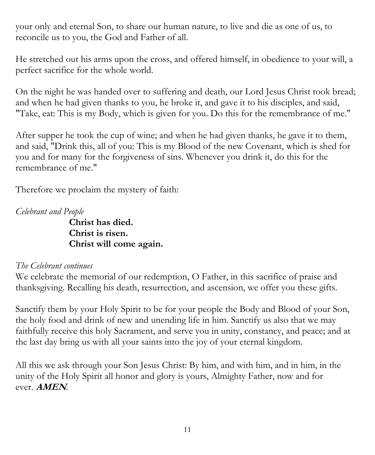your only and eternal Son, to share our human nature, to live and die as one of us, to reconcile us to you, the God and Father of all.

He stretched out his arms upon the cross, and offered himself, in obedience to your will, a perfect sacrifice for the whole world.

On the night he was handed over to suffering and death, our Lord Jesus Christ took bread; and when he had given thanks to you, he broke it, and gave it to his disciples, and said, "Take, eat: This is my Body, which is given for you. Do this for the remembrance of me."

After supper he took the cup of wine; and when he had given thanks, he gave it to them, and said, "Drink this, all of you: This is my Blood of the new Covenant, which is shed for you and for many for the forgiveness of sins. Whenever you drink it, do this for the remembrance of me."

Therefore we proclaim the mystery of faith:

*Celebrant and People*

**Christ has died. Christ is risen. Christ will come again.**

## *The Celebrant continues*

We celebrate the memorial of our redemption, O Father, in this sacrifice of praise and thanksgiving. Recalling his death, resurrection, and ascension, we offer you these gifts.

Sanctify them by your Holy Spirit to be for your people the Body and Blood of your Son, the holy food and drink of new and unending life in him. Sanctify us also that we may faithfully receive this holy Sacrament, and serve you in unity, constancy, and peace; and at the last day bring us with all your saints into the joy of your eternal kingdom.

All this we ask through your Son Jesus Christ: By him, and with him, and in him, in the unity of the Holy Spirit all honor and glory is yours, Almighty Father, now and for ever. **AMEN***.*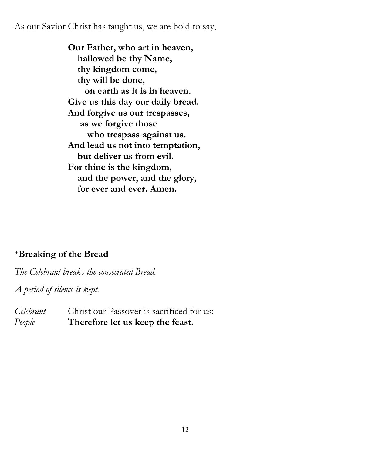As our Savior Christ has taught us, we are bold to say,

**Our Father, who art in heaven, hallowed be thy Name, thy kingdom come, thy will be done, on earth as it is in heaven. Give us this day our daily bread. And forgive us our trespasses, as we forgive those who trespass against us. And lead us not into temptation, but deliver us from evil. For thine is the kingdom, and the power, and the glory, for ever and ever. Amen.** 

## **<sup>+</sup>Breaking of the Bread**

*The Celebrant breaks the consecrated Bread.* 

*A period of silence is kept.*

*Celebrant* Christ our Passover is sacrificed for us; *People* **Therefore let us keep the feast.**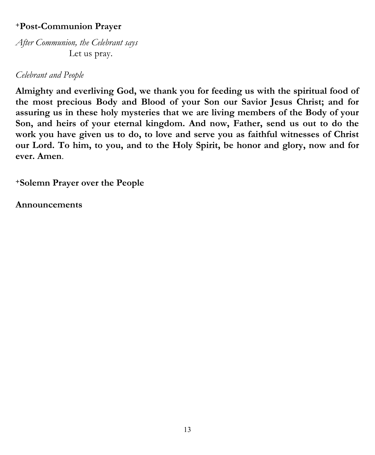## **<sup>+</sup>Post-Communion Prayer**

*After Communion, the Celebrant says* Let us pray.

#### *Celebrant and People*

**Almighty and everliving God, we thank you for feeding us with the spiritual food of the most precious Body and Blood of your Son our Savior Jesus Christ; and for assuring us in these holy mysteries that we are living members of the Body of your Son, and heirs of your eternal kingdom. And now, Father, send us out to do the work you have given us to do, to love and serve you as faithful witnesses of Christ our Lord. To him, to you, and to the Holy Spirit, be honor and glory, now and for ever. Amen**.

**<sup>+</sup>Solemn Prayer over the People**

**Announcements**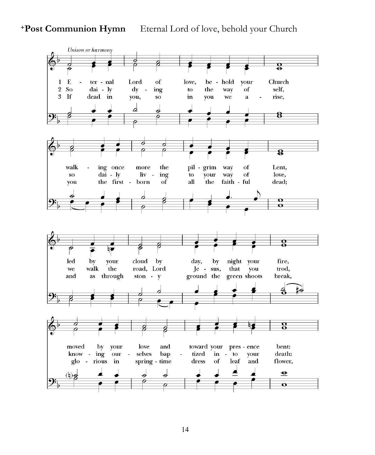**+Post Communion Hymn** Eternal Lord of love, behold your Church

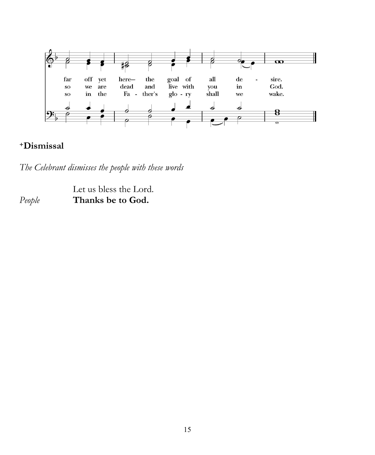

#### **<sup>+</sup>Dismissal**

*The Celebrant dismisses the people with these words*

Let us bless the Lord. *People* **Thanks be to God.**